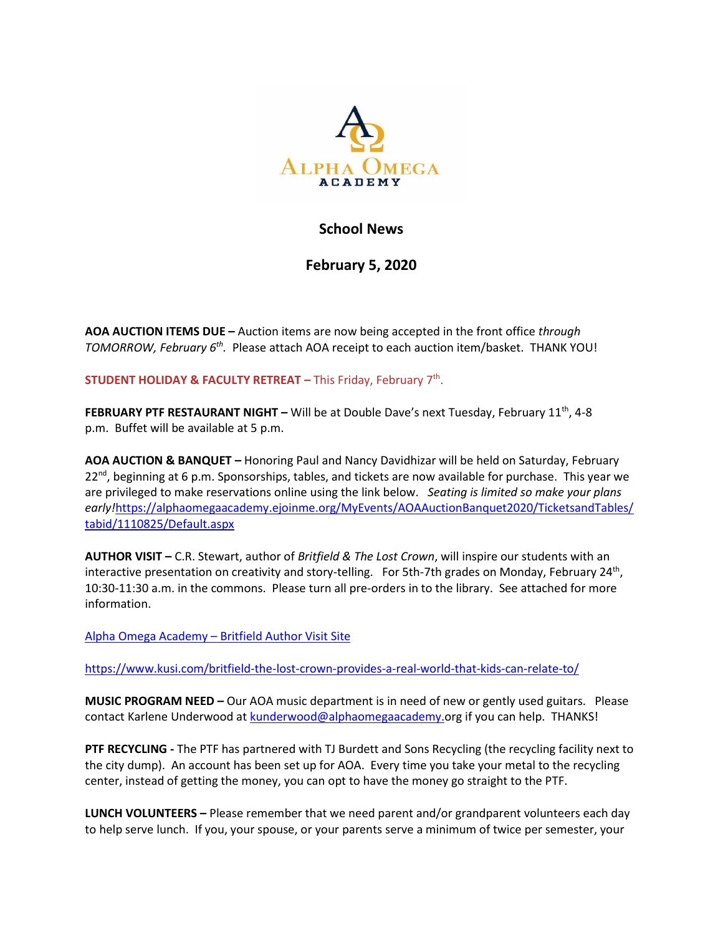

## **School News**

**February 5, 2020**

**AOA AUCTION ITEMS DUE –** Auction items are now being accepted in the front office *through*  TOMORROW, February 6<sup>th</sup>. Please attach AOA receipt to each auction item/basket. THANK YOU!

**STUDENT HOLIDAY & FACULTY RETREAT – This Friday, February 7<sup>th</sup>.** 

**FEBRUARY PTF RESTAURANT NIGHT –** Will be at Double Dave's next Tuesday, February 11<sup>th</sup>, 4-8 p.m. Buffet will be available at 5 p.m.

**AOA AUCTION & BANQUET –** Honoring Paul and Nancy Davidhizar will be held on Saturday, February  $22^{nd}$ , beginning at 6 p.m. Sponsorships, tables, and tickets are now available for purchase. This year we are privileged to make reservations online using the link below. *Seating is limited so make your plans early!*[https://alphaomegaacademy.ejoinme.org/MyEvents/AOAAuctionBanquet2020/TicketsandTables/](https://alphaomegaacademy.ejoinme.org/MyEvents/AOAAuctionBanquet2020/TicketsandTables/tabid/1110825/Default.aspx) [tabid/1110825/Default.aspx](https://alphaomegaacademy.ejoinme.org/MyEvents/AOAAuctionBanquet2020/TicketsandTables/tabid/1110825/Default.aspx)

**AUTHOR VISIT –** C.R. Stewart, author of *Britfield & The Lost Crown*, will inspire our students with an interactive presentation on creativity and story-telling. For 5th-7th grades on Monday, February 24<sup>th</sup>, 10:30-11:30 a.m. in the commons. Please turn all pre-orders in to the library. See attached for more information.

Alpha Omega Academy – [Britfield Author Visit Site](https://authorvisit.britfield.com/alpha-tx/)

<https://www.kusi.com/britfield-the-lost-crown-provides-a-real-world-that-kids-can-relate-to/>

**MUSIC PROGRAM NEED –** Our AOA music department is in need of new or gently used guitars. Please contact Karlene Underwood a[t kunderwood@alphaomegaacademy.o](mailto:kunderwood@alphaomegaacademy.)rg if you can help. THANKS!

**PTF RECYCLING -** The PTF has partnered with TJ Burdett and Sons Recycling (the recycling facility next to the city dump). An account has been set up for AOA. Every time you take your metal to the recycling center, instead of getting the money, you can opt to have the money go straight to the PTF.

**LUNCH VOLUNTEERS –** Please remember that we need parent and/or grandparent volunteers each day to help serve lunch. If you, your spouse, or your parents serve a minimum of twice per semester, your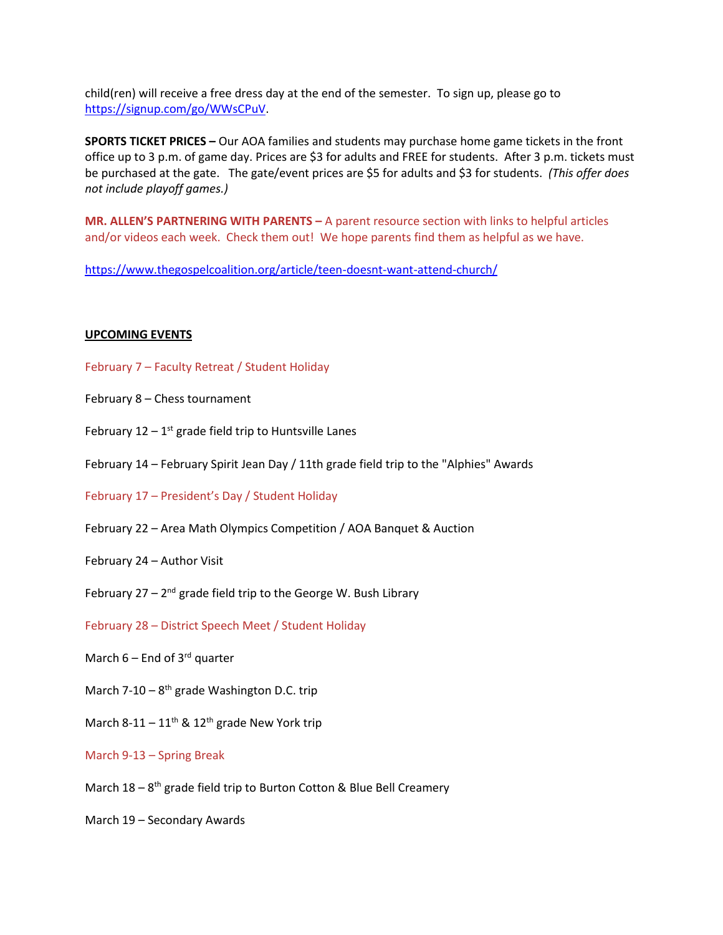child(ren) will receive a free dress day at the end of the semester. To sign up, please go to [https://signup.com/go/WWsCPuV.](https://signup.com/go/WWsCPuV)

**SPORTS TICKET PRICES –** Our AOA families and students may purchase home game tickets in the front office up to 3 p.m. of game day. Prices are \$3 for adults and FREE for students. After 3 p.m. tickets must be purchased at the gate. The gate/event prices are \$5 for adults and \$3 for students. *(This offer does not include playoff games.)*

**MR. ALLEN'S PARTNERING WITH PARENTS –** A parent resource section with links to helpful articles and/or videos each week. Check them out! We hope parents find them as helpful as we have.

<https://www.thegospelcoalition.org/article/teen-doesnt-want-attend-church/>

## **UPCOMING EVENTS**

- February 7 Faculty Retreat / Student Holiday
- February 8 Chess tournament
- February  $12 1$ <sup>st</sup> grade field trip to Huntsville Lanes
- February 14 February Spirit Jean Day / 11th grade field trip to the "Alphies" Awards
- February 17 President's Day / Student Holiday
- February 22 Area Math Olympics Competition / AOA Banquet & Auction
- February 24 Author Visit
- February 27 2<sup>nd</sup> grade field trip to the George W. Bush Library
- February 28 District Speech Meet / Student Holiday
- March  $6$  End of 3<sup>rd</sup> quarter
- March 7-10 8<sup>th</sup> grade Washington D.C. trip
- March 8-11  $11^{th}$  &  $12^{th}$  grade New York trip
- March 9-13 Spring Break
- March 18 8<sup>th</sup> grade field trip to Burton Cotton & Blue Bell Creamery
- March 19 Secondary Awards